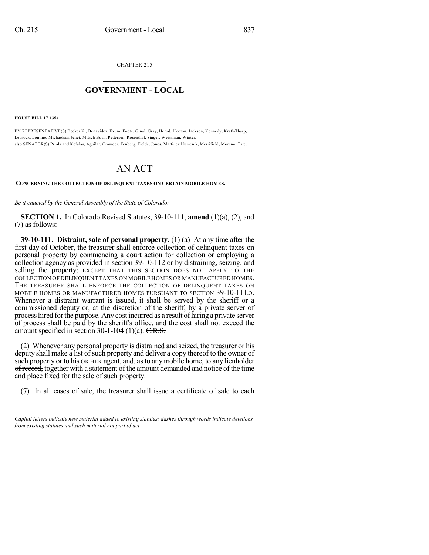CHAPTER 215

## $\mathcal{L}_\text{max}$  . The set of the set of the set of the set of the set of the set of the set of the set of the set of the set of the set of the set of the set of the set of the set of the set of the set of the set of the set **GOVERNMENT - LOCAL**  $\_$

**HOUSE BILL 17-1354**

)))))

BY REPRESENTATIVE(S) Becker K., Benavidez, Exum, Foote, Ginal, Gray, Herod, Hooton, Jackson, Kennedy, Kraft-Tharp, Lebsock, Lontine, Michaelson Jenet, Mitsch Bush, Pettersen, Rosenthal, Singer, Weissman, Winter; also SENATOR(S) Priola and Kefalas, Aguilar, Crowder, Fenberg, Fields, Jones, Martinez Humenik, Merrifield, Moreno, Tate.

## AN ACT

**CONCERNING THE COLLECTION OF DELINQUENT TAXES ON CERTAIN MOBILE HOMES.**

*Be it enacted by the General Assembly of the State of Colorado:*

**SECTION 1.** In Colorado Revised Statutes, 39-10-111, **amend** (1)(a), (2), and (7) as follows:

**39-10-111. Distraint, sale of personal property.** (1) (a) At any time after the first day of October, the treasurer shall enforce collection of delinquent taxes on personal property by commencing a court action for collection or employing a collection agency as provided in section 39-10-112 or by distraining, seizing, and selling the property; EXCEPT THAT THIS SECTION DOES NOT APPLY TO THE COLLECTION OF DELINQUENT TAXES ON MOBILE HOMES OR MANUFACTURED HOMES. THE TREASURER SHALL ENFORCE THE COLLECTION OF DELINQUENT TAXES ON MOBILE HOMES OR MANUFACTURED HOMES PURSUANT TO SECTION 39-10-111.5. Whenever a distraint warrant is issued, it shall be served by the sheriff or a commissioned deputy or, at the discretion of the sheriff, by a private server of process hired forthe purpose. Any cost incurred as a result of hiring a private server of process shall be paid by the sheriff's office, and the cost shall not exceed the amount specified in section  $30-1-104$  (1)(a). C.R.S.

(2) Whenever any personal property is distrained and seized, the treasurer or his deputy shall make a list of such property and deliver a copy thereof to the owner of such property or to his OR HER agent, and, as to any mobile home, to any lienholder of record, together with a statement of the amount demanded and notice of the time and place fixed for the sale of such property.

(7) In all cases of sale, the treasurer shall issue a certificate of sale to each

*Capital letters indicate new material added to existing statutes; dashes through words indicate deletions from existing statutes and such material not part of act.*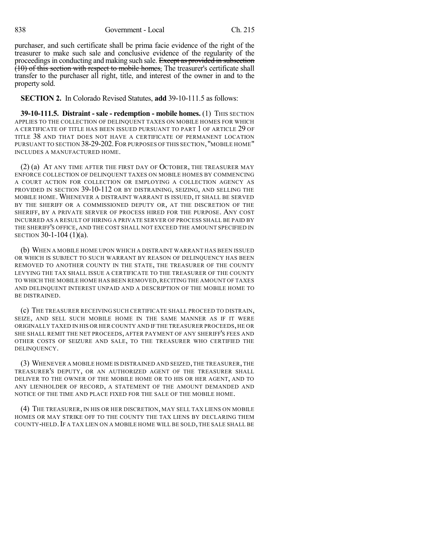838 Government - Local Ch. 215

purchaser, and such certificate shall be prima facie evidence of the right of the treasurer to make such sale and conclusive evidence of the regularity of the proceedings in conducting and making such sale. Except as provided in subsection (10) of this section with respect to mobile homes, The treasurer's certificate shall transfer to the purchaser all right, title, and interest of the owner in and to the property sold.

**SECTION 2.** In Colorado Revised Statutes, **add** 39-10-111.5 as follows:

**39-10-111.5. Distraint - sale - redemption - mobile homes.** (1) THIS SECTION APPLIES TO THE COLLECTION OF DELINQUENT TAXES ON MOBILE HOMES FOR WHICH A CERTIFICATE OF TITLE HAS BEEN ISSUED PURSUANT TO PART 1 OF ARTICLE 29 OF TITLE 38 AND THAT DOES NOT HAVE A CERTIFICATE OF PERMANENT LOCATION PURSUANT TO SECTION 38-29-202.FOR PURPOSES OF THIS SECTION, "MOBILE HOME" INCLUDES A MANUFACTURED HOME.

(2) (a) AT ANY TIME AFTER THE FIRST DAY OF OCTOBER, THE TREASURER MAY ENFORCE COLLECTION OF DELINQUENT TAXES ON MOBILE HOMES BY COMMENCING A COURT ACTION FOR COLLECTION OR EMPLOYING A COLLECTION AGENCY AS PROVIDED IN SECTION 39-10-112 OR BY DISTRAINING, SEIZING, AND SELLING THE MOBILE HOME. WHENEVER A DISTRAINT WARRANT IS ISSUED, IT SHALL BE SERVED BY THE SHERIFF OR A COMMISSIONED DEPUTY OR, AT THE DISCRETION OF THE SHERIFF, BY A PRIVATE SERVER OF PROCESS HIRED FOR THE PURPOSE. ANY COST INCURRED AS A RESULT OF HIRING A PRIVATE SERVER OF PROCESS SHALL BE PAID BY THE SHERIFF'S OFFICE, AND THE COST SHALL NOT EXCEED THE AMOUNT SPECIFIED IN SECTION 30-1-104 (1)(a).

(b) WHEN A MOBILE HOME UPON WHICH A DISTRAINT WARRANT HAS BEEN ISSUED OR WHICH IS SUBJECT TO SUCH WARRANT BY REASON OF DELINQUENCY HAS BEEN REMOVED TO ANOTHER COUNTY IN THE STATE, THE TREASURER OF THE COUNTY LEVYING THE TAX SHALL ISSUE A CERTIFICATE TO THE TREASURER OF THE COUNTY TO WHICH THE MOBILE HOME HAS BEEN REMOVED, RECITING THE AMOUNT OF TAXES AND DELINQUENT INTEREST UNPAID AND A DESCRIPTION OF THE MOBILE HOME TO BE DISTRAINED.

(c) THE TREASURER RECEIVING SUCH CERTIFICATE SHALL PROCEED TO DISTRAIN, SEIZE, AND SELL SUCH MOBILE HOME IN THE SAME MANNER AS IF IT WERE ORIGINALLY TAXED IN HIS OR HER COUNTY AND IF THE TREASURER PROCEEDS, HE OR SHE SHALL REMIT THE NET PROCEEDS, AFTER PAYMENT OF ANY SHERIFF'S FEES AND OTHER COSTS OF SEIZURE AND SALE, TO THE TREASURER WHO CERTIFIED THE DELINQUENCY.

(3) WHENEVER A MOBILE HOME IS DISTRAINED AND SEIZED, THE TREASURER, THE TREASURER'S DEPUTY, OR AN AUTHORIZED AGENT OF THE TREASURER SHALL DELIVER TO THE OWNER OF THE MOBILE HOME OR TO HIS OR HER AGENT, AND TO ANY LIENHOLDER OF RECORD, A STATEMENT OF THE AMOUNT DEMANDED AND NOTICE OF THE TIME AND PLACE FIXED FOR THE SALE OF THE MOBILE HOME.

(4) THE TREASURER, IN HIS OR HER DISCRETION, MAY SELL TAX LIENS ON MOBILE HOMES OR MAY STRIKE OFF TO THE COUNTY THE TAX LIENS BY DECLARING THEM COUNTY-HELD.IF A TAX LIEN ON A MOBILE HOME WILL BE SOLD, THE SALE SHALL BE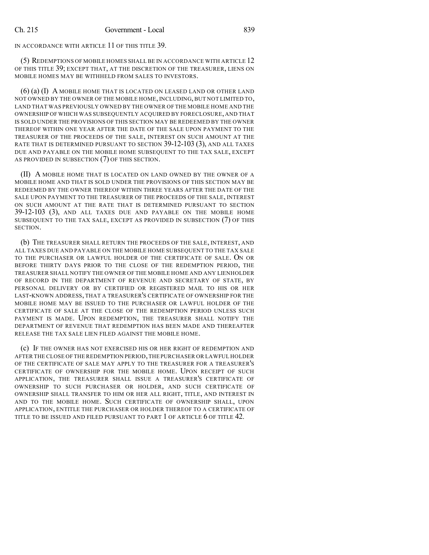IN ACCORDANCE WITH ARTICLE 11 OF THIS TITLE 39.

(5) REDEMPTIONS OF MOBILE HOMES SHALL BE IN ACCORDANCE WITH ARTICLE 12 OF THIS TITLE 39; EXCEPT THAT, AT THE DISCRETION OF THE TREASURER, LIENS ON MOBILE HOMES MAY BE WITHHELD FROM SALES TO INVESTORS.

(6) (a) (I) A MOBILE HOME THAT IS LOCATED ON LEASED LAND OR OTHER LAND NOT OWNED BY THE OWNER OF THE MOBILE HOME, INCLUDING,BUT NOT LIMITED TO, LAND THAT WAS PREVIOUSLY OWNED BY THE OWNER OF THE MOBILE HOME AND THE OWNERSHIP OF WHICH WAS SUBSEQUENTLY ACQUIRED BY FORECLOSURE, AND THAT IS SOLD UNDER THE PROVISIONS OF THIS SECTION MAY BE REDEEMED BY THE OWNER THEREOF WITHIN ONE YEAR AFTER THE DATE OF THE SALE UPON PAYMENT TO THE TREASURER OF THE PROCEEDS OF THE SALE, INTEREST ON SUCH AMOUNT AT THE RATE THAT IS DETERMINED PURSUANT TO SECTION 39-12-103 (3), AND ALL TAXES DUE AND PAYABLE ON THE MOBILE HOME SUBSEQUENT TO THE TAX SALE, EXCEPT AS PROVIDED IN SUBSECTION (7) OF THIS SECTION.

(II) A MOBILE HOME THAT IS LOCATED ON LAND OWNED BY THE OWNER OF A MOBILE HOME AND THAT IS SOLD UNDER THE PROVISIONS OF THIS SECTION MAY BE REDEEMED BY THE OWNER THEREOF WITHIN THREE YEARS AFTER THE DATE OF THE SALE UPON PAYMENT TO THE TREASURER OF THE PROCEEDS OF THE SALE, INTEREST ON SUCH AMOUNT AT THE RATE THAT IS DETERMINED PURSUANT TO SECTION 39-12-103 (3), AND ALL TAXES DUE AND PAYABLE ON THE MOBILE HOME SUBSEQUENT TO THE TAX SALE, EXCEPT AS PROVIDED IN SUBSECTION (7) OF THIS SECTION.

(b) THE TREASURER SHALL RETURN THE PROCEEDS OF THE SALE, INTEREST, AND ALL TAXES DUE AND PAYABLE ON THE MOBILE HOME SUBSEQUENT TO THE TAX SALE TO THE PURCHASER OR LAWFUL HOLDER OF THE CERTIFICATE OF SALE. ON OR BEFORE THIRTY DAYS PRIOR TO THE CLOSE OF THE REDEMPTION PERIOD, THE TREASURER SHALL NOTIFY THE OWNER OF THE MOBILE HOME AND ANY LIENHOLDER OF RECORD IN THE DEPARTMENT OF REVENUE AND SECRETARY OF STATE, BY PERSONAL DELIVERY OR BY CERTIFIED OR REGISTERED MAIL TO HIS OR HER LAST-KNOWN ADDRESS, THAT A TREASURER'S CERTIFICATE OF OWNERSHIP FOR THE MOBILE HOME MAY BE ISSUED TO THE PURCHASER OR LAWFUL HOLDER OF THE CERTIFICATE OF SALE AT THE CLOSE OF THE REDEMPTION PERIOD UNLESS SUCH PAYMENT IS MADE. UPON REDEMPTION, THE TREASURER SHALL NOTIFY THE DEPARTMENT OF REVENUE THAT REDEMPTION HAS BEEN MADE AND THEREAFTER RELEASE THE TAX SALE LIEN FILED AGAINST THE MOBILE HOME.

(c) IF THE OWNER HAS NOT EXERCISED HIS OR HER RIGHT OF REDEMPTION AND AFTER THE CLOSE OF THE REDEMPTION PERIOD,THE PURCHASER OR LAWFUL HOLDER OF THE CERTIFICATE OF SALE MAY APPLY TO THE TREASURER FOR A TREASURER'S CERTIFICATE OF OWNERSHIP FOR THE MOBILE HOME. UPON RECEIPT OF SUCH APPLICATION, THE TREASURER SHALL ISSUE A TREASURER'S CERTIFICATE OF OWNERSHIP TO SUCH PURCHASER OR HOLDER, AND SUCH CERTIFICATE OF OWNERSHIP SHALL TRANSFER TO HIM OR HER ALL RIGHT, TITLE, AND INTEREST IN AND TO THE MOBILE HOME. SUCH CERTIFICATE OF OWNERSHIP SHALL, UPON APPLICATION, ENTITLE THE PURCHASER OR HOLDER THEREOF TO A CERTIFICATE OF TITLE TO BE ISSUED AND FILED PURSUANT TO PART 1 OF ARTICLE 6 OF TITLE 42.